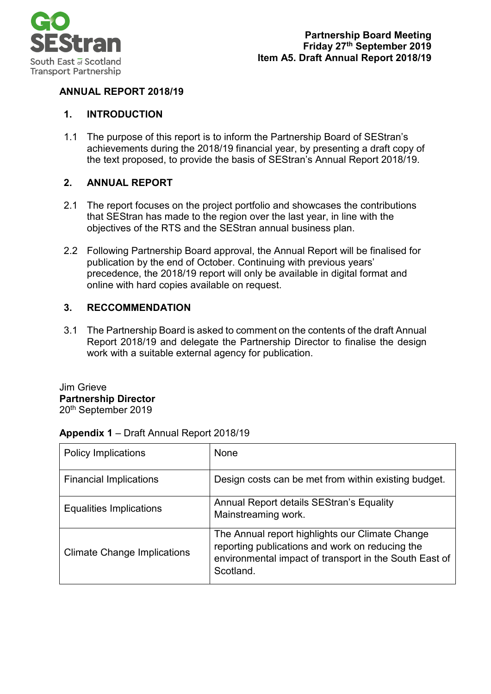

# **ANNUAL REPORT 2018/19**

# **1. INTRODUCTION**

1.1 The purpose of this report is to inform the Partnership Board of SEStran's achievements during the 2018/19 financial year, by presenting a draft copy of the text proposed, to provide the basis of SEStran's Annual Report 2018/19.

# **2. ANNUAL REPORT**

- 2.1 The report focuses on the project portfolio and showcases the contributions that SEStran has made to the region over the last year, in line with the objectives of the RTS and the SEStran annual business plan.
- 2.2 Following Partnership Board approval, the Annual Report will be finalised for publication by the end of October. Continuing with previous years' precedence, the 2018/19 report will only be available in digital format and online with hard copies available on request.

# **3. RECCOMMENDATION**

3.1 The Partnership Board is asked to comment on the contents of the draft Annual Report 2018/19 and delegate the Partnership Director to finalise the design work with a suitable external agency for publication.

Jim Grieve **Partnership Director**  20<sup>th</sup> September 2019

# **Appendix 1** – Draft Annual Report 2018/19

| <b>Policy Implications</b>         | None                                                                                                                                                                      |
|------------------------------------|---------------------------------------------------------------------------------------------------------------------------------------------------------------------------|
| <b>Financial Implications</b>      | Design costs can be met from within existing budget.                                                                                                                      |
| Equalities Implications            | Annual Report details SEStran's Equality<br>Mainstreaming work.                                                                                                           |
| <b>Climate Change Implications</b> | The Annual report highlights our Climate Change<br>reporting publications and work on reducing the<br>environmental impact of transport in the South East of<br>Scotland. |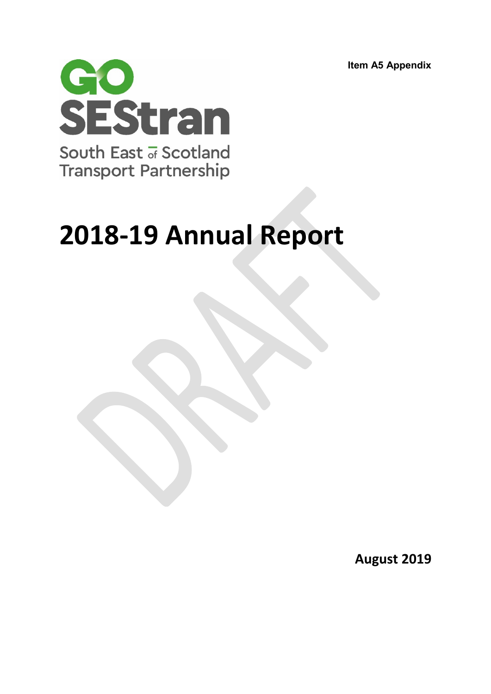**Item A5 Appendix**



# **2018-19 Annual Report**

**August 2019**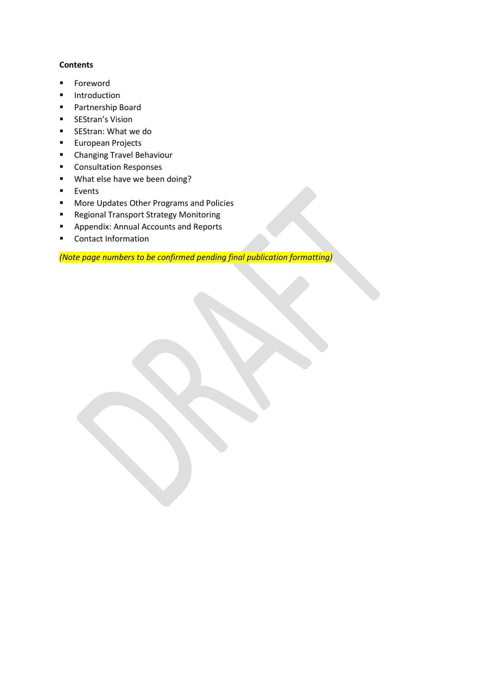# **Contents**

- **Foreword**
- **Introduction**
- Partnership Board
- **EXECUTE:** SEStran's Vision
- **SEStran: What we do**
- **European Projects**
- **E** Changing Travel Behaviour
- **Consultation Responses**
- **What else have we been doing?**
- **Events**
- **More Updates Other Programs and Policies**
- **Regional Transport Strategy Monitoring**
- Appendix: Annual Accounts and Reports
- **Contact Information**

*(Note page numbers to be confirmed pending final publication formatting)*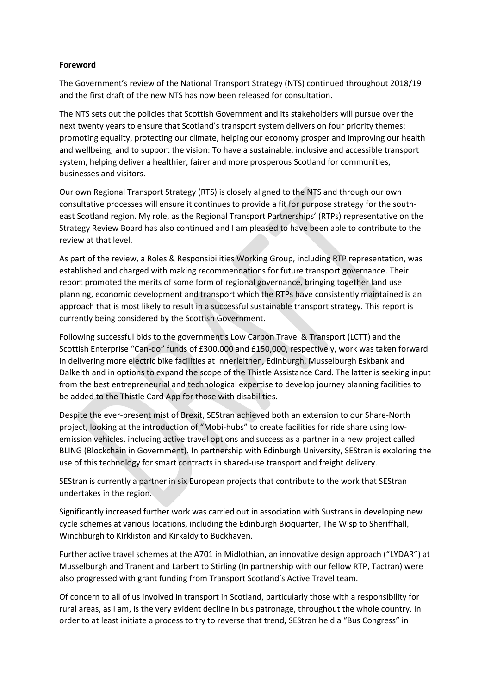## **Foreword**

The Government's review of the National Transport Strategy (NTS) continued throughout 2018/19 and the first draft of the new NTS has now been released for consultation.

The NTS sets out the policies that Scottish Government and its stakeholders will pursue over the next twenty years to ensure that Scotland's transport system delivers on four priority themes: promoting equality, protecting our climate, helping our economy prosper and improving our health and wellbeing, and to support the vision: To have a sustainable, inclusive and accessible transport system, helping deliver a healthier, fairer and more prosperous Scotland for communities, businesses and visitors.

Our own Regional Transport Strategy (RTS) is closely aligned to the NTS and through our own consultative processes will ensure it continues to provide a fit for purpose strategy for the southeast Scotland region. My role, as the Regional Transport Partnerships' (RTPs) representative on the Strategy Review Board has also continued and I am pleased to have been able to contribute to the review at that level.

As part of the review, a Roles & Responsibilities Working Group, including RTP representation, was established and charged with making recommendations for future transport governance. Their report promoted the merits of some form of regional governance, bringing together land use planning, economic development and transport which the RTPs have consistently maintained is an approach that is most likely to result in a successful sustainable transport strategy. This report is currently being considered by the Scottish Government.

Following successful bids to the government's Low Carbon Travel & Transport (LCTT) and the Scottish Enterprise "Can-do" funds of £300,000 and £150,000, respectively, work was taken forward in delivering more electric bike facilities at Innerleithen, Edinburgh, Musselburgh Eskbank and Dalkeith and in options to expand the scope of the Thistle Assistance Card. The latter is seeking input from the best entrepreneurial and technological expertise to develop journey planning facilities to be added to the Thistle Card App for those with disabilities.

Despite the ever-present mist of Brexit, SEStran achieved both an extension to our Share-North project, looking at the introduction of "Mobi-hubs" to create facilities for ride share using lowemission vehicles, including active travel options and success as a partner in a new project called BLING (Blockchain in Government). In partnership with Edinburgh University, SEStran is exploring the use of this technology for smart contracts in shared-use transport and freight delivery.

SEStran is currently a partner in six European projects that contribute to the work that SEStran undertakes in the region.

Significantly increased further work was carried out in association with Sustrans in developing new cycle schemes at various locations, including the Edinburgh Bioquarter, The Wisp to Sheriffhall, Winchburgh to KIrkliston and Kirkaldy to Buckhaven.

Further active travel schemes at the A701 in Midlothian, an innovative design approach ("LYDAR") at Musselburgh and Tranent and Larbert to Stirling (In partnership with our fellow RTP, Tactran) were also progressed with grant funding from Transport Scotland's Active Travel team.

Of concern to all of us involved in transport in Scotland, particularly those with a responsibility for rural areas, as I am, is the very evident decline in bus patronage, throughout the whole country. In order to at least initiate a process to try to reverse that trend, SEStran held a "Bus Congress" in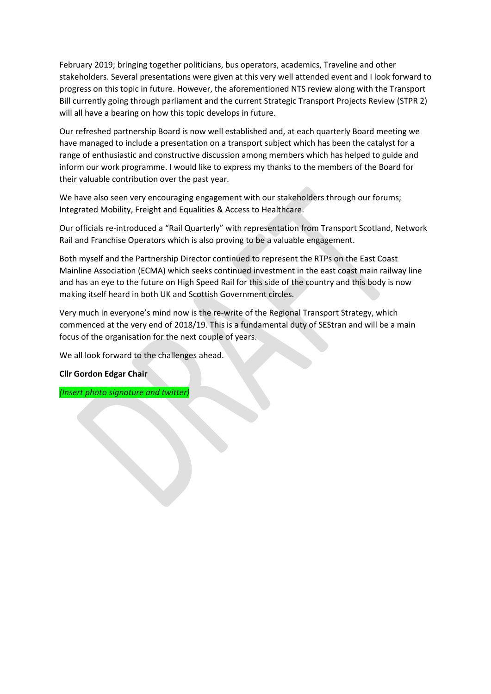February 2019; bringing together politicians, bus operators, academics, Traveline and other stakeholders. Several presentations were given at this very well attended event and I look forward to progress on this topic in future. However, the aforementioned NTS review along with the Transport Bill currently going through parliament and the current Strategic Transport Projects Review (STPR 2) will all have a bearing on how this topic develops in future.

Our refreshed partnership Board is now well established and, at each quarterly Board meeting we have managed to include a presentation on a transport subject which has been the catalyst for a range of enthusiastic and constructive discussion among members which has helped to guide and inform our work programme. I would like to express my thanks to the members of the Board for their valuable contribution over the past year.

We have also seen very encouraging engagement with our stakeholders through our forums; Integrated Mobility, Freight and Equalities & Access to Healthcare.

Our officials re-introduced a "Rail Quarterly" with representation from Transport Scotland, Network Rail and Franchise Operators which is also proving to be a valuable engagement.

Both myself and the Partnership Director continued to represent the RTPs on the East Coast Mainline Association (ECMA) which seeks continued investment in the east coast main railway line and has an eye to the future on High Speed Rail for this side of the country and this body is now making itself heard in both UK and Scottish Government circles.

Very much in everyone's mind now is the re-write of the Regional Transport Strategy, which commenced at the very end of 2018/19. This is a fundamental duty of SEStran and will be a main focus of the organisation for the next couple of years.

We all look forward to the challenges ahead.

#### **Cllr Gordon Edgar Chair**

*(Insert photo signature and twitter)*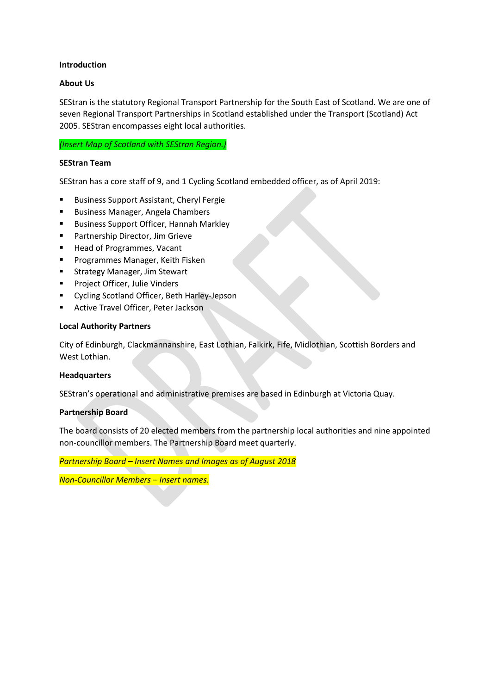#### **Introduction**

# **About Us**

SEStran is the statutory Regional Transport Partnership for the South East of Scotland. We are one of seven Regional Transport Partnerships in Scotland established under the Transport (Scotland) Act 2005. SEStran encompasses eight local authorities.

*(Insert Map of Scotland with SEStran Region.)*

#### **SEStran Team**

SEStran has a core staff of 9, and 1 Cycling Scotland embedded officer, as of April 2019:

- **Business Support Assistant, Cheryl Fergie**
- **Business Manager, Angela Chambers**
- **Business Support Officer, Hannah Markley**
- Partnership Director, Jim Grieve
- **Head of Programmes, Vacant**
- **Programmes Manager, Keith Fisken**
- **EXTEGGY Manager, Jim Stewart**
- **Project Officer, Julie Vinders**
- Cycling Scotland Officer, Beth Harley-Jepson
- Active Travel Officer, Peter Jackson

#### **Local Authority Partners**

City of Edinburgh, Clackmannanshire, East Lothian, Falkirk, Fife, Midlothian, Scottish Borders and West Lothian.

#### **Headquarters**

SEStran's operational and administrative premises are based in Edinburgh at Victoria Quay.

### **Partnership Board**

The board consists of 20 elected members from the partnership local authorities and nine appointed non-councillor members. The Partnership Board meet quarterly.

*Partnership Board – Insert Names and Images as of August 2018*

*Non-Councillor Members – Insert names.*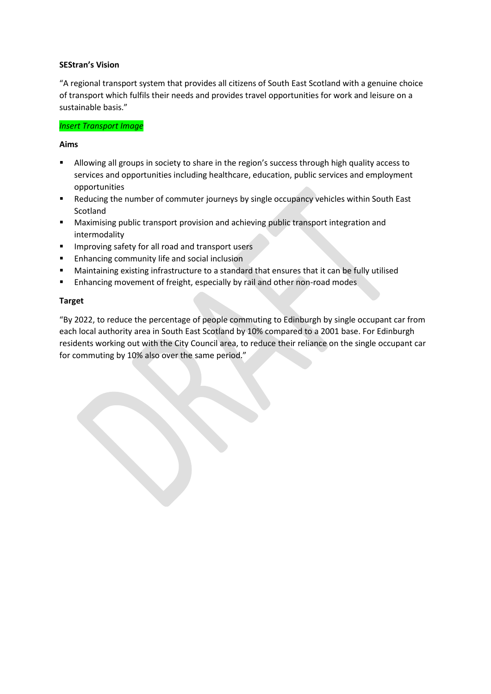# **SEStran's Vision**

"A regional transport system that provides all citizens of South East Scotland with a genuine choice of transport which fulfils their needs and provides travel opportunities for work and leisure on a sustainable basis."

# *Insert Transport Image*

# **Aims**

- Allowing all groups in society to share in the region's success through high quality access to services and opportunities including healthcare, education, public services and employment opportunities
- Reducing the number of commuter journeys by single occupancy vehicles within South East Scotland
- **•** Maximising public transport provision and achieving public transport integration and intermodality
- **IMPROVING SAFETY FOR ALL ROAD AND THE IMPROVING SAFETY**
- **Enhancing community life and social inclusion**
- Maintaining existing infrastructure to a standard that ensures that it can be fully utilised
- **Enhancing movement of freight, especially by rail and other non-road modes**

# **Target**

"By 2022, to reduce the percentage of people commuting to Edinburgh by single occupant car from each local authority area in South East Scotland by 10% compared to a 2001 base. For Edinburgh residents working out with the City Council area, to reduce their reliance on the single occupant car for commuting by 10% also over the same period."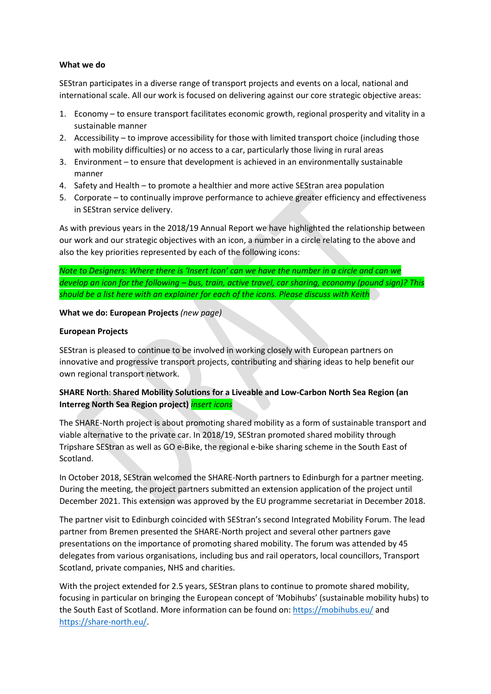## **What we do**

SEStran participates in a diverse range of transport projects and events on a local, national and international scale. All our work is focused on delivering against our core strategic objective areas:

- 1. Economy to ensure transport facilitates economic growth, regional prosperity and vitality in a sustainable manner
- 2. Accessibility to improve accessibility for those with limited transport choice (including those with mobility difficulties) or no access to a car, particularly those living in rural areas
- 3. Environment to ensure that development is achieved in an environmentally sustainable manner
- 4. Safety and Health to promote a healthier and more active SEStran area population
- 5. Corporate to continually improve performance to achieve greater efficiency and effectiveness in SEStran service delivery.

As with previous years in the 2018/19 Annual Report we have highlighted the relationship between our work and our strategic objectives with an icon, a number in a circle relating to the above and also the key priorities represented by each of the following icons:

*Note to Designers: Where there is 'Insert Icon' can we have the number in a circle and can we develop an icon for the following – bus, train, active travel, car sharing, economy (pound sign)? This should be a list here with an explainer for each of the icons. Please discuss with Keith*

# **What we do: European Projects** *(new page)*

# **European Projects**

SEStran is pleased to continue to be involved in working closely with European partners on innovative and progressive transport projects, contributing and sharing ideas to help benefit our own regional transport network.

# **SHARE North**: **Shared Mobility Solutions for a Liveable and Low-Carbon North Sea Region (an Interreg North Sea Region project)** *insert icons*

The SHARE-North project is about promoting shared mobility as a form of sustainable transport and viable alternative to the private car. In 2018/19, SEStran promoted shared mobility through Tripshare SEStran as well as GO e-Bike, the regional e-bike sharing scheme in the South East of Scotland.

In October 2018, SEStran welcomed the SHARE-North partners to Edinburgh for a partner meeting. During the meeting, the project partners submitted an extension application of the project until December 2021. This extension was approved by the EU programme secretariat in December 2018.

The partner visit to Edinburgh coincided with SEStran's second Integrated Mobility Forum. The lead partner from Bremen presented the SHARE-North project and several other partners gave presentations on the importance of promoting shared mobility. The forum was attended by 45 delegates from various organisations, including bus and rail operators, local councillors, Transport Scotland, private companies, NHS and charities.

With the project extended for 2.5 years, SEStran plans to continue to promote shared mobility, focusing in particular on bringing the European concept of 'Mobihubs' (sustainable mobility hubs) to the South East of Scotland. More information can be found on:<https://mobihubs.eu/> and [https://share-north.eu/.](https://share-north.eu/)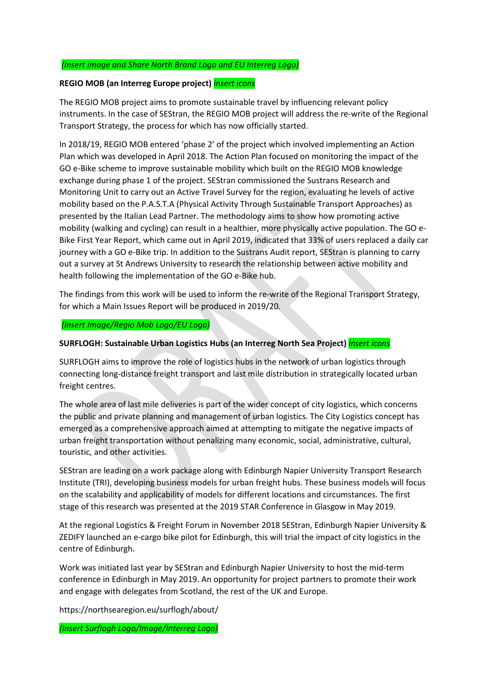# *(Insert image and Share North Brand Logo and EU Interreg Logo)*

# **REGIO MOB (an Interreg Europe project)** *insert icons*

The REGIO MOB project aims to promote sustainable travel by influencing relevant policy instruments. In the case of SEStran, the REGIO MOB project will address the re-write of the Regional Transport Strategy, the process for which has now officially started.

In 2018/19, REGIO MOB entered 'phase 2' of the project which involved implementing an Action Plan which was developed in April 2018. The Action Plan focused on monitoring the impact of the GO e-Bike scheme to improve sustainable mobility which built on the REGIO MOB knowledge exchange during phase 1 of the project. SEStran commissioned the Sustrans Research and Monitoring Unit to carry out an Active Travel Survey for the region, evaluating he levels of active mobility based on the P.A.S.T.A (Physical Activity Through Sustainable Transport Approaches) as presented by the Italian Lead Partner. The methodology aims to show how promoting active mobility (walking and cycling) can result in a healthier, more physically active population. The GO e-Bike First Year Report, which came out in April 2019, indicated that 33% of users replaced a daily car journey with a GO e-Bike trip. In addition to the Sustrans Audit report, SEStran is planning to carry out a survey at St Andrews University to research the relationship between active mobility and health following the implementation of the GO e-Bike hub.

The findings from this work will be used to inform the re-write of the Regional Transport Strategy, for which a Main Issues Report will be produced in 2019/20.

#### *(Insert Image/Regio Mob Logo/EU Logo)*

# **SURFLOGH: Sustainable Urban Logistics Hubs (an Interreg North Sea Project)** *insert icons*

SURFLOGH aims to improve the role of logistics hubs in the network of urban logistics through connecting long-distance freight transport and last mile distribution in strategically located urban freight centres.

The whole area of last mile deliveries is part of the wider concept of city logistics, which concerns the public and private planning and management of urban logistics. The City Logistics concept has emerged as a comprehensive approach aimed at attempting to mitigate the negative impacts of urban freight transportation without penalizing many economic, social, administrative, cultural, touristic, and other activities.

SEStran are leading on a work package along with Edinburgh Napier University Transport Research Institute (TRI), developing business models for urban freight hubs. These business models will focus on the scalability and applicability of models for different locations and circumstances. The first stage of this research was presented at the 2019 STAR Conference in Glasgow in May 2019.

At the regional Logistics & Freight Forum in November 2018 SEStran, Edinburgh Napier University & ZEDIFY launched an e-cargo bike pilot for Edinburgh, this will trial the impact of city logistics in the centre of Edinburgh.

Work was initiated last year by SEStran and Edinburgh Napier University to host the mid-term conference in Edinburgh in May 2019. An opportunity for project partners to promote their work and engage with delegates from Scotland, the rest of the UK and Europe.

https://northsearegion.eu/surflogh/about/

*(Insert Surflogh Logo/Image/Interreg Logo)*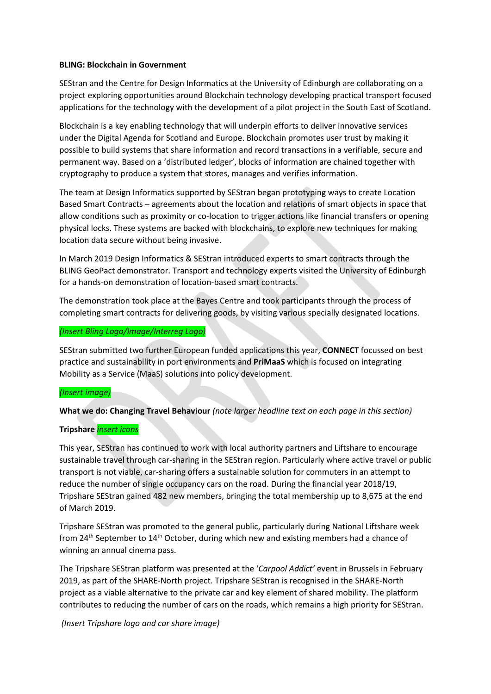#### **BLING: Blockchain in Government**

SEStran and the Centre for Design Informatics at the University of Edinburgh are collaborating on a project exploring opportunities around Blockchain technology developing practical transport focused applications for the technology with the development of a pilot project in the South East of Scotland.

Blockchain is a key enabling technology that will underpin efforts to deliver innovative services under the Digital Agenda for Scotland and Europe. Blockchain promotes user trust by making it possible to build systems that share information and record transactions in a verifiable, secure and permanent way. Based on a 'distributed ledger', blocks of information are chained together with cryptography to produce a system that stores, manages and verifies information.

The team at Design Informatics supported by SEStran began prototyping ways to create Location Based Smart Contracts – agreements about the location and relations of smart objects in space that allow conditions such as proximity or co-location to trigger actions like financial transfers or opening physical locks. These systems are backed with blockchains, to explore new techniques for making location data secure without being invasive.

In March 2019 Design Informatics & SEStran introduced experts to smart contracts through the BLING GeoPact demonstrator. Transport and technology experts visited the University of Edinburgh for a hands-on demonstration of location-based smart contracts.

The demonstration took place at the Bayes Centre and took participants through the process of completing smart contracts for delivering goods, by visiting various specially designated locations.

#### *(Insert Bling Logo/Image/Interreg Logo)*

SEStran submitted two further European funded applications this year, **CONNECT** focussed on best practice and sustainability in port environments and **PriMaaS** which is focused on integrating Mobility as a Service (MaaS) solutions into policy development.

#### *(Insert image)*

**What we do: Changing Travel Behaviour** *(note larger headline text on each page in this section)*

#### **Tripshare** *insert icons*

This year, SEStran has continued to work with local authority partners and Liftshare to encourage sustainable travel through car-sharing in the SEStran region. Particularly where active travel or public transport is not viable, car-sharing offers a sustainable solution for commuters in an attempt to reduce the number of single occupancy cars on the road. During the financial year 2018/19, Tripshare SEStran gained 482 new members, bringing the total membership up to 8,675 at the end of March 2019.

Tripshare SEStran was promoted to the general public, particularly during National Liftshare week from 24<sup>th</sup> September to 14<sup>th</sup> October, during which new and existing members had a chance of winning an annual cinema pass.

The Tripshare SEStran platform was presented at the '*Carpool Addict'* event in Brussels in February 2019, as part of the SHARE-North project. Tripshare SEStran is recognised in the SHARE-North project as a viable alternative to the private car and key element of shared mobility. The platform contributes to reducing the number of cars on the roads, which remains a high priority for SEStran.

*(Insert Tripshare logo and car share image)*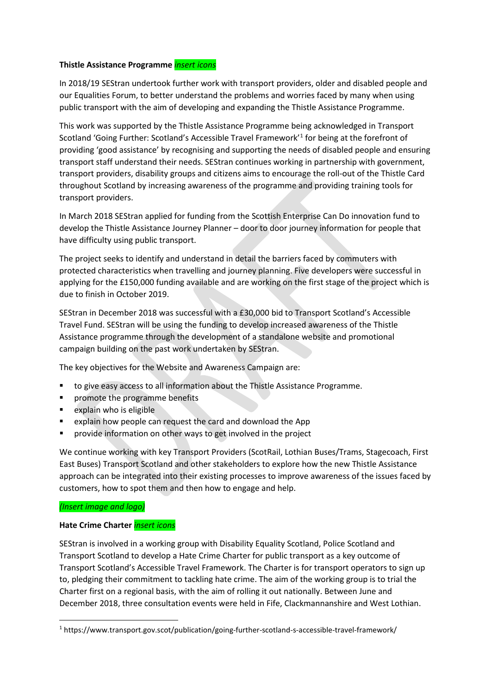#### **Thistle Assistance Programme** *insert icons*

In 2018/19 SEStran undertook further work with transport providers, older and disabled people and our Equalities Forum, to better understand the problems and worries faced by many when using public transport with the aim of developing and expanding the Thistle Assistance Programme.

This work was supported by the Thistle Assistance Programme being acknowledged in Transport Scotland 'Going Further: Scotland's Accessible Travel Framework'[1](#page-10-0) for being at the forefront of providing 'good assistance' by recognising and supporting the needs of disabled people and ensuring transport staff understand their needs. SEStran continues working in partnership with government, transport providers, disability groups and citizens aims to encourage the roll-out of the Thistle Card throughout Scotland by increasing awareness of the programme and providing training tools for transport providers.

In March 2018 SEStran applied for funding from the Scottish Enterprise Can Do innovation fund to develop the Thistle Assistance Journey Planner – door to door journey information for people that have difficulty using public transport.

The project seeks to identify and understand in detail the barriers faced by commuters with protected characteristics when travelling and journey planning. Five developers were successful in applying for the £150,000 funding available and are working on the first stage of the project which is due to finish in October 2019.

SEStran in December 2018 was successful with a £30,000 bid to Transport Scotland's Accessible Travel Fund. SEStran will be using the funding to develop increased awareness of the Thistle Assistance programme through the development of a standalone website and promotional campaign building on the past work undertaken by SEStran.

The key objectives for the Website and Awareness Campaign are:

- to give easy access to all information about the Thistle Assistance Programme.
- promote the programme benefits
- explain who is eligible
- explain how people can request the card and download the App
- **PEDRIM** provide information on other ways to get involved in the project

We continue working with key Transport Providers (ScotRail, Lothian Buses/Trams, Stagecoach, First East Buses) Transport Scotland and other stakeholders to explore how the new Thistle Assistance approach can be integrated into their existing processes to improve awareness of the issues faced by customers, how to spot them and then how to engage and help.

#### *(Insert image and logo)*

#### **Hate Crime Charter** *insert icons*

SEStran is involved in a working group with Disability Equality Scotland, Police Scotland and Transport Scotland to develop a Hate Crime Charter for public transport as a key outcome of Transport Scotland's Accessible Travel Framework. The Charter is for transport operators to sign up to, pledging their commitment to tackling hate crime. The aim of the working group is to trial the Charter first on a regional basis, with the aim of rolling it out nationally. Between June and December 2018, three consultation events were held in Fife, Clackmannanshire and West Lothian.

<span id="page-10-0"></span> <sup>1</sup> https://www.transport.gov.scot/publication/going-further-scotland-s-accessible-travel-framework/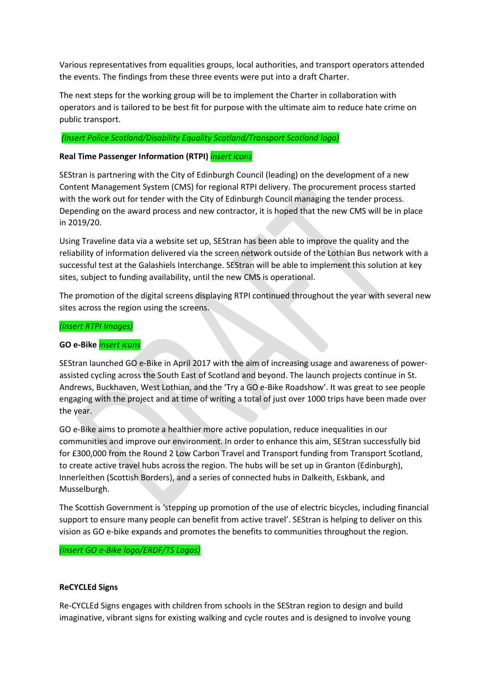Various representatives from equalities groups, local authorities, and transport operators attended the events. The findings from these three events were put into a draft Charter.

The next steps for the working group will be to implement the Charter in collaboration with operators and is tailored to be best fit for purpose with the ultimate aim to reduce hate crime on public transport.

#### *(Insert Police Scotland/Disability Equality Scotland/Transport Scotland logo)*

#### **Real Time Passenger Information (RTPI)** *insert icons*

SEStran is partnering with the City of Edinburgh Council (leading) on the development of a new Content Management System (CMS) for regional RTPI delivery. The procurement process started with the work out for tender with the City of Edinburgh Council managing the tender process. Depending on the award process and new contractor, it is hoped that the new CMS will be in place in 2019/20.

Using Traveline data via a website set up, SEStran has been able to improve the quality and the reliability of information delivered via the screen network outside of the Lothian Bus network with a successful test at the Galashiels Interchange. SEStran will be able to implement this solution at key sites, subject to funding availability, until the new CMS is operational.

The promotion of the digital screens displaying RTPI continued throughout the year with several new sites across the region using the screens.

#### *(Insert RTPI Images)*

#### **GO e-Bike** *insert icons*

SEStran launched GO e-Bike in April 2017 with the aim of increasing usage and awareness of powerassisted cycling across the South East of Scotland and beyond. The launch projects continue in St. Andrews, Buckhaven, West Lothian, and the 'Try a GO e-Bike Roadshow'. It was great to see people engaging with the project and at time of writing a total of just over 1000 trips have been made over the year.

GO e-Bike aims to promote a healthier more active population, reduce inequalities in our communities and improve our environment. In order to enhance this aim, SEStran successfully bid for £300,000 from the Round 2 Low Carbon Travel and Transport funding from Transport Scotland, to create active travel hubs across the region. The hubs will be set up in Granton (Edinburgh), Innerleithen (Scottish Borders), and a series of connected hubs in Dalkeith, Eskbank, and Musselburgh.

The Scottish Government is 'stepping up promotion of the use of electric bicycles, including financial support to ensure many people can benefit from active travel'. SEStran is helping to deliver on this vision as GO e-bike expands and promotes the benefits to communities throughout the region.

#### *(Insert GO e-Bike logo/ERDF/TS Logos)*

#### **ReCYCLEd Signs**

Re-CYCLEd Signs engages with children from schools in the SEStran region to design and build imaginative, vibrant signs for existing walking and cycle routes and is designed to involve young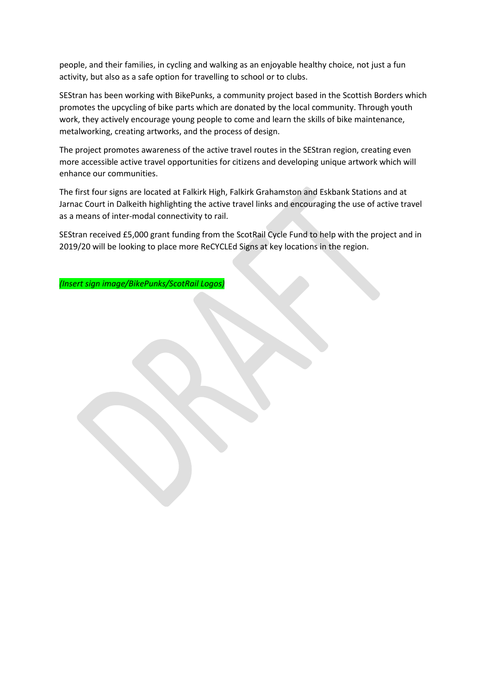people, and their families, in cycling and walking as an enjoyable healthy choice, not just a fun activity, but also as a safe option for travelling to school or to clubs.

SEStran has been working with BikePunks, a community project based in the Scottish Borders which promotes the upcycling of bike parts which are donated by the local community. Through youth work, they actively encourage young people to come and learn the skills of bike maintenance, metalworking, creating artworks, and the process of design.

The project promotes awareness of the active travel routes in the SEStran region, creating even more accessible active travel opportunities for citizens and developing unique artwork which will enhance our communities.

The first four signs are located at Falkirk High, Falkirk Grahamston and Eskbank Stations and at Jarnac Court in Dalkeith highlighting the active travel links and encouraging the use of active travel as a means of inter-modal connectivity to rail.

SEStran received £5,000 grant funding from the ScotRail Cycle Fund to help with the project and in 2019/20 will be looking to place more ReCYCLEd Signs at key locations in the region.

*(Insert sign image/BikePunks/ScotRail Logos)*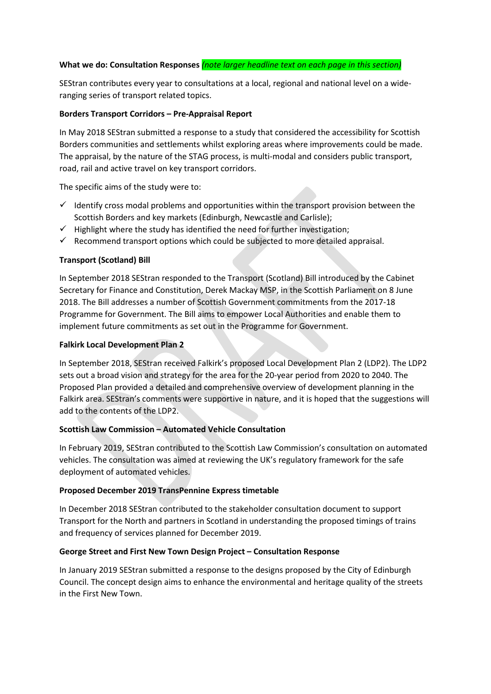# **What we do: Consultation Responses** *(note larger headline text on each page in this section)*

SEStran contributes every year to consultations at a local, regional and national level on a wideranging series of transport related topics.

# **Borders Transport Corridors – Pre-Appraisal Report**

In May 2018 SEStran submitted a response to a study that considered the accessibility for Scottish Borders communities and settlements whilst exploring areas where improvements could be made. The appraisal, by the nature of the STAG process, is multi-modal and considers public transport, road, rail and active travel on key transport corridors.

The specific aims of the study were to:

- $\checkmark$  Identify cross modal problems and opportunities within the transport provision between the Scottish Borders and key markets (Edinburgh, Newcastle and Carlisle);
- $\checkmark$  Highlight where the study has identified the need for further investigation;
- $\checkmark$  Recommend transport options which could be subjected to more detailed appraisal.

# **Transport (Scotland) Bill**

In September 2018 SEStran responded to the Transport (Scotland) Bill introduced by the Cabinet Secretary for Finance and Constitution, Derek Mackay MSP, in the Scottish Parliament on 8 June 2018. The Bill addresses a number of Scottish Government commitments from the 2017-18 Programme for Government. The Bill aims to empower Local Authorities and enable them to implement future commitments as set out in the Programme for Government.

# **Falkirk Local Development Plan 2**

In September 2018, SEStran received Falkirk's proposed Local Development Plan 2 (LDP2). The LDP2 sets out a broad vision and strategy for the area for the 20-year period from 2020 to 2040. The Proposed Plan provided a detailed and comprehensive overview of development planning in the Falkirk area. SEStran's comments were supportive in nature, and it is hoped that the suggestions will add to the contents of the LDP2.

# **Scottish Law Commission – Automated Vehicle Consultation**

In February 2019, SEStran contributed to the Scottish Law Commission's consultation on automated vehicles. The consultation was aimed at reviewing the UK's regulatory framework for the safe deployment of automated vehicles.

# **Proposed December 2019 TransPennine Express timetable**

In December 2018 SEStran contributed to the stakeholder consultation document to support Transport for the North and partners in Scotland in understanding the proposed timings of trains and frequency of services planned for December 2019.

#### **George Street and First New Town Design Project – Consultation Response**

In January 2019 SEStran submitted a response to the designs proposed by the City of Edinburgh Council. The concept design aims to enhance the environmental and heritage quality of the streets in the First New Town.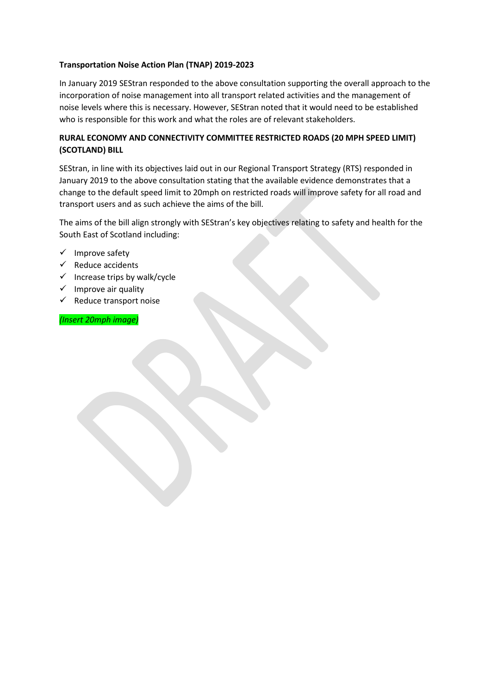# **Transportation Noise Action Plan (TNAP) 2019-2023**

In January 2019 SEStran responded to the above consultation supporting the overall approach to the incorporation of noise management into all transport related activities and the management of noise levels where this is necessary. However, SEStran noted that it would need to be established who is responsible for this work and what the roles are of relevant stakeholders.

# **RURAL ECONOMY AND CONNECTIVITY COMMITTEE RESTRICTED ROADS (20 MPH SPEED LIMIT) (SCOTLAND) BILL**

SEStran, in line with its objectives laid out in our Regional Transport Strategy (RTS) responded in January 2019 to the above consultation stating that the available evidence demonstrates that a change to the default speed limit to 20mph on restricted roads will improve safety for all road and transport users and as such achieve the aims of the bill.

The aims of the bill align strongly with SEStran's key objectives relating to safety and health for the South East of Scotland including:

- $\checkmark$  Improve safety
- $\checkmark$  Reduce accidents
- $\checkmark$  Increase trips by walk/cycle
- $\checkmark$  Improve air quality
- $\checkmark$  Reduce transport noise

*(Insert 20mph image)*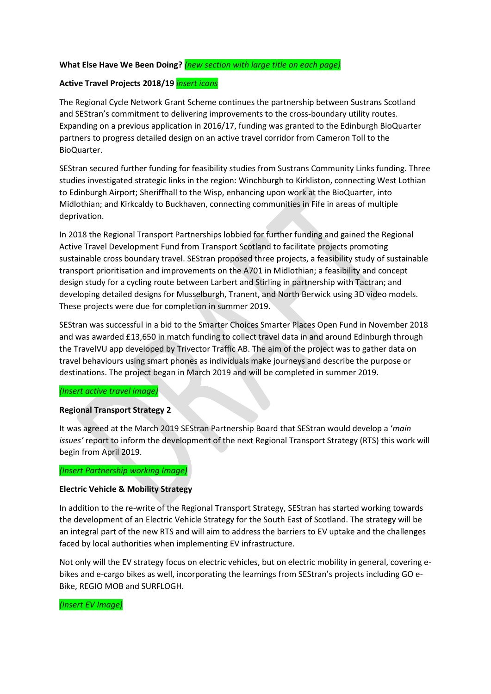# **What Else Have We Been Doing?** *(new section with large title on each page)*

# **Active Travel Projects 2018/19** *insert icons*

The Regional Cycle Network Grant Scheme continues the partnership between Sustrans Scotland and SEStran's commitment to delivering improvements to the cross-boundary utility routes. Expanding on a previous application in 2016/17, funding was granted to the Edinburgh BioQuarter partners to progress detailed design on an active travel corridor from Cameron Toll to the BioQuarter.

SEStran secured further funding for feasibility studies from Sustrans Community Links funding. Three studies investigated strategic links in the region: Winchburgh to Kirkliston, connecting West Lothian to Edinburgh Airport; Sheriffhall to the Wisp, enhancing upon work at the BioQuarter, into Midlothian; and Kirkcaldy to Buckhaven, connecting communities in Fife in areas of multiple deprivation.

In 2018 the Regional Transport Partnerships lobbied for further funding and gained the Regional Active Travel Development Fund from Transport Scotland to facilitate projects promoting sustainable cross boundary travel. SEStran proposed three projects, a feasibility study of sustainable transport prioritisation and improvements on the A701 in Midlothian; a feasibility and concept design study for a cycling route between Larbert and Stirling in partnership with Tactran; and developing detailed designs for Musselburgh, Tranent, and North Berwick using 3D video models. These projects were due for completion in summer 2019.

SEStran was successful in a bid to the Smarter Choices Smarter Places Open Fund in November 2018 and was awarded £13,650 in match funding to collect travel data in and around Edinburgh through the TravelVU app developed by Trivector Traffic AB. The aim of the project was to gather data on travel behaviours using smart phones as individuals make journeys and describe the purpose or destinations. The project began in March 2019 and will be completed in summer 2019.

#### *(Insert active travel image)*

#### **Regional Transport Strategy 2**

It was agreed at the March 2019 SEStran Partnership Board that SEStran would develop a '*main issues'* report to inform the development of the next Regional Transport Strategy (RTS) this work will begin from April 2019.

#### *(Insert Partnership working Image)*

#### **Electric Vehicle & Mobility Strategy**

In addition to the re-write of the Regional Transport Strategy, SEStran has started working towards the development of an Electric Vehicle Strategy for the South East of Scotland. The strategy will be an integral part of the new RTS and will aim to address the barriers to EV uptake and the challenges faced by local authorities when implementing EV infrastructure.

Not only will the EV strategy focus on electric vehicles, but on electric mobility in general, covering ebikes and e-cargo bikes as well, incorporating the learnings from SEStran's projects including GO e-Bike, REGIO MOB and SURFLOGH.

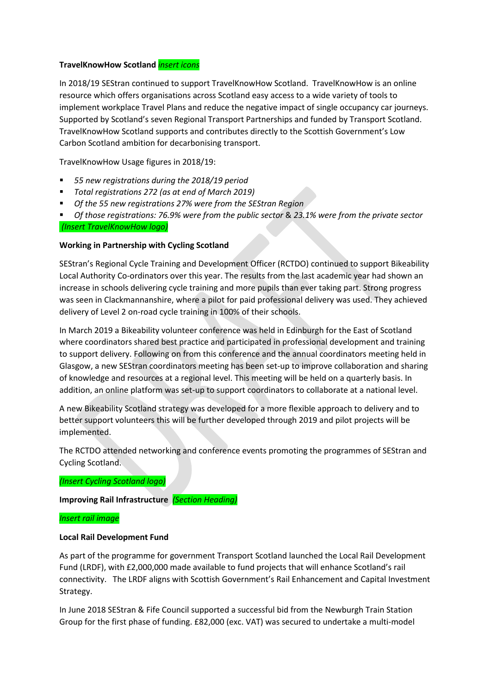#### **TravelKnowHow Scotland** *insert icons*

In 2018/19 SEStran continued to support TravelKnowHow Scotland. TravelKnowHow is an online resource which offers organisations across Scotland easy access to a wide variety of tools to implement workplace Travel Plans and reduce the negative impact of single occupancy car journeys. Supported by Scotland's seven Regional Transport Partnerships and funded by Transport Scotland. TravelKnowHow Scotland supports and contributes directly to the Scottish Government's Low Carbon Scotland ambition for decarbonising transport.

TravelKnowHow Usage figures in 2018/19:

- *55 new registrations during the 2018/19 period*
- *Total registrations 272 (as at end of March 2019)*
- *Of the 55 new registrations 27% were from the SEStran Region*

 *Of those registrations: 76.9% were from the public sector* & *23.1% were from the private sector (Insert TravelKnowHow logo)*

#### **Working in Partnership with Cycling Scotland**

SEStran's Regional Cycle Training and Development Officer (RCTDO) continued to support Bikeability Local Authority Co-ordinators over this year. The results from the last academic year had shown an increase in schools delivering cycle training and more pupils than ever taking part. Strong progress was seen in Clackmannanshire, where a pilot for paid professional delivery was used. They achieved delivery of Level 2 on-road cycle training in 100% of their schools.

In March 2019 a Bikeability volunteer conference was held in Edinburgh for the East of Scotland where coordinators shared best practice and participated in professional development and training to support delivery. Following on from this conference and the annual coordinators meeting held in Glasgow, a new SEStran coordinators meeting has been set-up to improve collaboration and sharing of knowledge and resources at a regional level. This meeting will be held on a quarterly basis. In addition, an online platform was set-up to support coordinators to collaborate at a national level.

A new Bikeability Scotland strategy was developed for a more flexible approach to delivery and to better support volunteers this will be further developed through 2019 and pilot projects will be implemented.

The RCTDO attended networking and conference events promoting the programmes of SEStran and Cycling Scotland.

*(Insert Cycling Scotland logo)*

## **Improving Rail Infrastructure** *(Section Heading)*

#### *Insert rail image*

# **Local Rail Development Fund**

As part of the programme for government Transport Scotland launched the Local Rail Development Fund (LRDF), with £2,000,000 made available to fund projects that will enhance Scotland's rail connectivity. The LRDF aligns with Scottish Government's Rail Enhancement and Capital Investment Strategy.

In June 2018 SEStran & Fife Council supported a successful bid from the Newburgh Train Station Group for the first phase of funding. £82,000 (exc. VAT) was secured to undertake a multi-model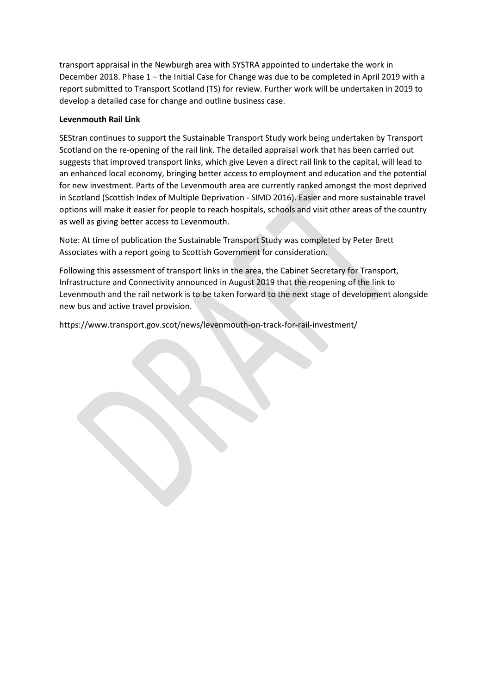transport appraisal in the Newburgh area with SYSTRA appointed to undertake the work in December 2018. Phase 1 – the Initial Case for Change was due to be completed in April 2019 with a report submitted to Transport Scotland (TS) for review. Further work will be undertaken in 2019 to develop a detailed case for change and outline business case.

# **Levenmouth Rail Link**

SEStran continues to support the Sustainable Transport Study work being undertaken by Transport Scotland on the re-opening of the rail link. The detailed appraisal work that has been carried out suggests that improved transport links, which give Leven a direct rail link to the capital, will lead to an enhanced local economy, bringing better access to employment and education and the potential for new investment. Parts of the Levenmouth area are currently ranked amongst the most deprived in Scotland (Scottish Index of Multiple Deprivation - SIMD 2016). Easier and more sustainable travel options will make it easier for people to reach hospitals, schools and visit other areas of the country as well as giving better access to Levenmouth.

Note: At time of publication the Sustainable Transport Study was completed by Peter Brett Associates with a report going to Scottish Government for consideration.

Following this assessment of transport links in the area, the Cabinet Secretary for Transport, Infrastructure and Connectivity announced in August 2019 that the reopening of the link to Levenmouth and the rail network is to be taken forward to the next stage of development alongside new bus and active travel provision.

https://www.transport.gov.scot/news/levenmouth-on-track-for-rail-investment/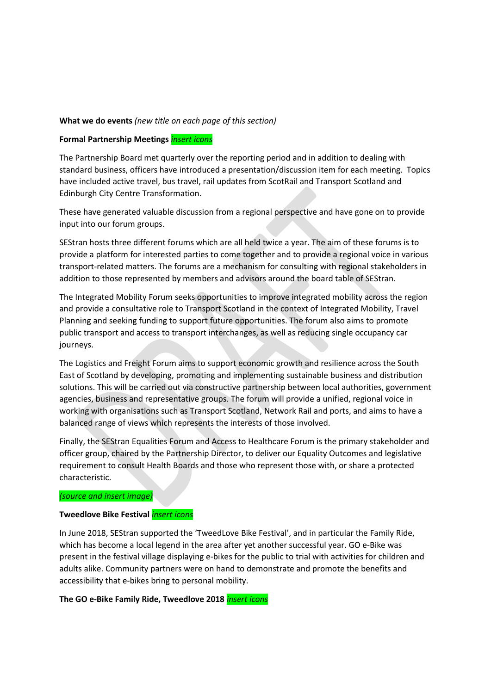#### **What we do events** *(new title on each page of this section)*

#### **Formal Partnership Meetings** *insert icons*

The Partnership Board met quarterly over the reporting period and in addition to dealing with standard business, officers have introduced a presentation/discussion item for each meeting. Topics have included active travel, bus travel, rail updates from ScotRail and Transport Scotland and Edinburgh City Centre Transformation.

These have generated valuable discussion from a regional perspective and have gone on to provide input into our forum groups.

SEStran hosts three different forums which are all held twice a year. The aim of these forums is to provide a platform for interested parties to come together and to provide a regional voice in various transport-related matters. The forums are a mechanism for consulting with regional stakeholders in addition to those represented by members and advisors around the board table of SEStran.

The Integrated Mobility Forum seeks opportunities to improve integrated mobility across the region and provide a consultative role to Transport Scotland in the context of Integrated Mobility, Travel Planning and seeking funding to support future opportunities. The forum also aims to promote public transport and access to transport interchanges, as well as reducing single occupancy car journeys.

The Logistics and Freight Forum aims to support economic growth and resilience across the South East of Scotland by developing, promoting and implementing sustainable business and distribution solutions. This will be carried out via constructive partnership between local authorities, government agencies, business and representative groups. The forum will provide a unified, regional voice in working with organisations such as Transport Scotland, Network Rail and ports, and aims to have a balanced range of views which represents the interests of those involved.

Finally, the SEStran Equalities Forum and Access to Healthcare Forum is the primary stakeholder and officer group, chaired by the Partnership Director, to deliver our Equality Outcomes and legislative requirement to consult Health Boards and those who represent those with, or share a protected characteristic.

#### *(source and insert image)*

#### **Tweedlove Bike Festival** *insert icons*

In June 2018, SEStran supported the 'TweedLove Bike Festival', and in particular the Family Ride, which has become a local legend in the area after yet another successful year. GO e-Bike was present in the festival village displaying e-bikes for the public to trial with activities for children and adults alike. Community partners were on hand to demonstrate and promote the benefits and accessibility that e-bikes bring to personal mobility.

# **The GO e-Bike Family Ride, Tweedlove 2018** *insert icons*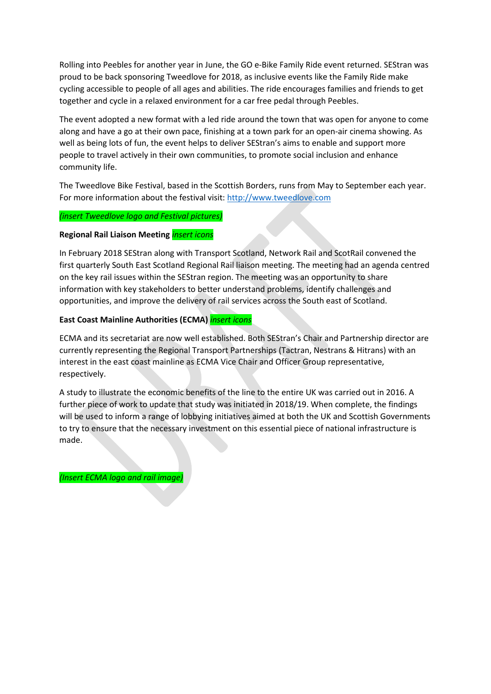Rolling into Peebles for another year in June, the GO e-Bike Family Ride event returned. SEStran was proud to be back sponsoring Tweedlove for 2018, as inclusive events like the Family Ride make cycling accessible to people of all ages and abilities. The ride encourages families and friends to get together and cycle in a relaxed environment for a car free pedal through Peebles.

The event adopted a new format with a led ride around the town that was open for anyone to come along and have a go at their own pace, finishing at a town park for an open-air cinema showing. As well as being lots of fun, the event helps to deliver SEStran's aims to enable and support more people to travel actively in their own communities, to promote social inclusion and enhance community life.

The Tweedlove Bike Festival, based in the Scottish Borders, runs from May to September each year. For more information about the festival visit: [http://www.tweedlove.com](http://www.tweedlove.com/)

#### *(insert Tweedlove logo and Festival pictures)*

#### **Regional Rail Liaison Meeting** *insert icons*

In February 2018 SEStran along with Transport Scotland, Network Rail and ScotRail convened the first quarterly South East Scotland Regional Rail liaison meeting. The meeting had an agenda centred on the key rail issues within the SEStran region. The meeting was an opportunity to share information with key stakeholders to better understand problems, identify challenges and opportunities, and improve the delivery of rail services across the South east of Scotland.

# **East Coast Mainline Authorities (ECMA)** *insert icons*

ECMA and its secretariat are now well established. Both SEStran's Chair and Partnership director are currently representing the Regional Transport Partnerships (Tactran, Nestrans & Hitrans) with an interest in the east coast mainline as ECMA Vice Chair and Officer Group representative, respectively.

A study to illustrate the economic benefits of the line to the entire UK was carried out in 2016. A further piece of work to update that study was initiated in 2018/19. When complete, the findings will be used to inform a range of lobbying initiatives aimed at both the UK and Scottish Governments to try to ensure that the necessary investment on this essential piece of national infrastructure is made.

*(Insert ECMA logo and rail image)*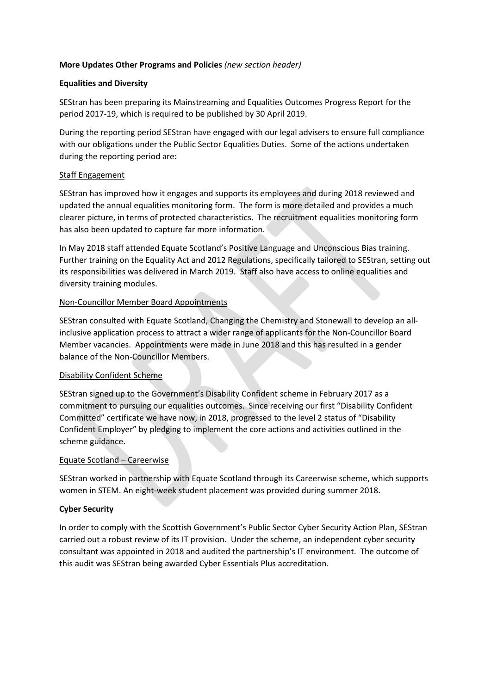# **More Updates Other Programs and Policies** *(new section header)*

# **Equalities and Diversity**

SEStran has been preparing its Mainstreaming and Equalities Outcomes Progress Report for the period 2017-19, which is required to be published by 30 April 2019.

During the reporting period SEStran have engaged with our legal advisers to ensure full compliance with our obligations under the Public Sector Equalities Duties. Some of the actions undertaken during the reporting period are:

# Staff Engagement

SEStran has improved how it engages and supports its employees and during 2018 reviewed and updated the annual equalities monitoring form. The form is more detailed and provides a much clearer picture, in terms of protected characteristics. The recruitment equalities monitoring form has also been updated to capture far more information.

In May 2018 staff attended Equate Scotland's Positive Language and Unconscious Bias training. Further training on the Equality Act and 2012 Regulations, specifically tailored to SEStran, setting out its responsibilities was delivered in March 2019. Staff also have access to online equalities and diversity training modules.

# Non-Councillor Member Board Appointments

SEStran consulted with Equate Scotland, Changing the Chemistry and Stonewall to develop an allinclusive application process to attract a wider range of applicants for the Non-Councillor Board Member vacancies. Appointments were made in June 2018 and this has resulted in a gender balance of the Non-Councillor Members.

#### Disability Confident Scheme

SEStran signed up to the Government's Disability Confident scheme in February 2017 as a commitment to pursuing our equalities outcomes. Since receiving our first "Disability Confident Committed" certificate we have now, in 2018, progressed to the level 2 status of "Disability Confident Employer" by pledging to implement the core actions and activities outlined in the scheme guidance.

#### Equate Scotland – Careerwise

SEStran worked in partnership with Equate Scotland through its Careerwise scheme, which supports women in STEM. An eight-week student placement was provided during summer 2018.

# **Cyber Security**

In order to comply with the Scottish Government's Public Sector Cyber Security Action Plan, SEStran carried out a robust review of its IT provision. Under the scheme, an independent cyber security consultant was appointed in 2018 and audited the partnership's IT environment. The outcome of this audit was SEStran being awarded Cyber Essentials Plus accreditation.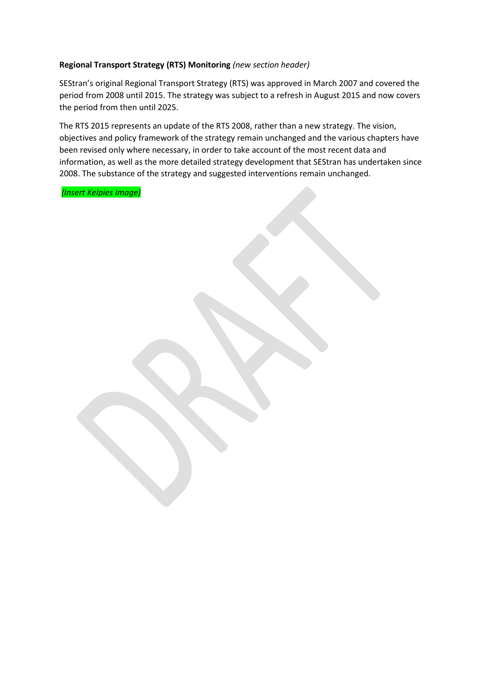# **Regional Transport Strategy (RTS) Monitoring** *(new section header)*

SEStran's original Regional Transport Strategy (RTS) was approved in March 2007 and covered the period from 2008 until 2015. The strategy was subject to a refresh in August 2015 and now covers the period from then until 2025.

The RTS 2015 represents an update of the RTS 2008, rather than a new strategy. The vision, objectives and policy framework of the strategy remain unchanged and the various chapters have been revised only where necessary, in order to take account of the most recent data and information, as well as the more detailed strategy development that SEStran has undertaken since 2008. The substance of the strategy and suggested interventions remain unchanged.

*(Insert Kelpies Image)*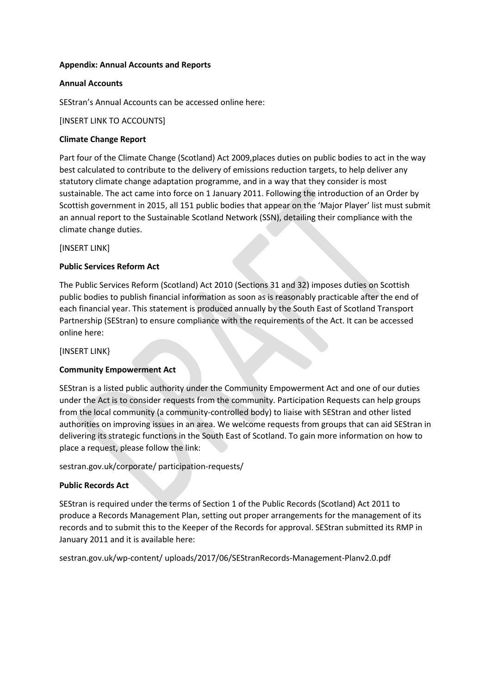#### **Appendix: Annual Accounts and Reports**

#### **Annual Accounts**

SEStran's Annual Accounts can be accessed online here:

[INSERT LINK TO ACCOUNTS]

#### **Climate Change Report**

Part four of the Climate Change (Scotland) Act 2009, places duties on public bodies to act in the way best calculated to contribute to the delivery of emissions reduction targets, to help deliver any statutory climate change adaptation programme, and in a way that they consider is most sustainable. The act came into force on 1 January 2011. Following the introduction of an Order by Scottish government in 2015, all 151 public bodies that appear on the 'Major Player' list must submit an annual report to the Sustainable Scotland Network (SSN), detailing their compliance with the climate change duties.

[INSERT LINK]

#### **Public Services Reform Act**

The Public Services Reform (Scotland) Act 2010 (Sections 31 and 32) imposes duties on Scottish public bodies to publish financial information as soon as is reasonably practicable after the end of each financial year. This statement is produced annually by the South East of Scotland Transport Partnership (SEStran) to ensure compliance with the requirements of the Act. It can be accessed online here:

#### [INSERT LINK}

#### **Community Empowerment Act**

SEStran is a listed public authority under the Community Empowerment Act and one of our duties under the Act is to consider requests from the community. Participation Requests can help groups from the local community (a community-controlled body) to liaise with SEStran and other listed authorities on improving issues in an area. We welcome requests from groups that can aid SEStran in delivering its strategic functions in the South East of Scotland. To gain more information on how to place a request, please follow the link:

sestran.gov.uk/corporate/ participation-requests/

#### **Public Records Act**

SEStran is required under the terms of Section 1 of the Public Records (Scotland) Act 2011 to produce a Records Management Plan, setting out proper arrangements for the management of its records and to submit this to the Keeper of the Records for approval. SEStran submitted its RMP in January 2011 and it is available here:

sestran.gov.uk/wp-content/ uploads/2017/06/SEStranRecords-Management-Planv2.0.pdf